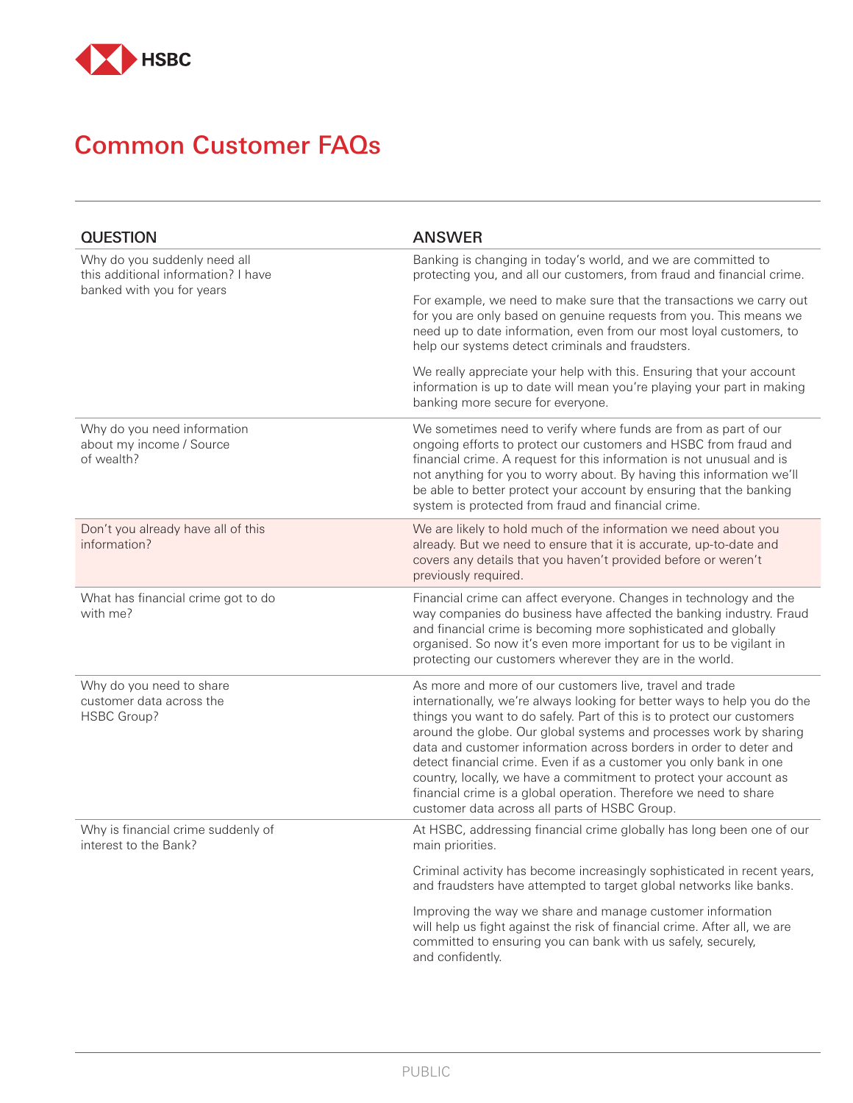

## Common Customer FAQs

| <b>QUESTION</b>                                                                                  | <b>ANSWER</b>                                                                                                                                                                                                                                                                                                                                                                                                                                                                                                                                                                                                               |
|--------------------------------------------------------------------------------------------------|-----------------------------------------------------------------------------------------------------------------------------------------------------------------------------------------------------------------------------------------------------------------------------------------------------------------------------------------------------------------------------------------------------------------------------------------------------------------------------------------------------------------------------------------------------------------------------------------------------------------------------|
| Why do you suddenly need all<br>this additional information? I have<br>banked with you for years | Banking is changing in today's world, and we are committed to<br>protecting you, and all our customers, from fraud and financial crime.                                                                                                                                                                                                                                                                                                                                                                                                                                                                                     |
|                                                                                                  | For example, we need to make sure that the transactions we carry out<br>for you are only based on genuine requests from you. This means we<br>need up to date information, even from our most loyal customers, to<br>help our systems detect criminals and fraudsters.                                                                                                                                                                                                                                                                                                                                                      |
|                                                                                                  | We really appreciate your help with this. Ensuring that your account<br>information is up to date will mean you're playing your part in making<br>banking more secure for everyone.                                                                                                                                                                                                                                                                                                                                                                                                                                         |
| Why do you need information<br>about my income / Source<br>of wealth?                            | We sometimes need to verify where funds are from as part of our<br>ongoing efforts to protect our customers and HSBC from fraud and<br>financial crime. A request for this information is not unusual and is<br>not anything for you to worry about. By having this information we'll<br>be able to better protect your account by ensuring that the banking<br>system is protected from fraud and financial crime.                                                                                                                                                                                                         |
| Don't you already have all of this<br>information?                                               | We are likely to hold much of the information we need about you<br>already. But we need to ensure that it is accurate, up-to-date and<br>covers any details that you haven't provided before or weren't<br>previously required.                                                                                                                                                                                                                                                                                                                                                                                             |
| What has financial crime got to do<br>with me?                                                   | Financial crime can affect everyone. Changes in technology and the<br>way companies do business have affected the banking industry. Fraud<br>and financial crime is becoming more sophisticated and globally<br>organised. So now it's even more important for us to be vigilant in<br>protecting our customers wherever they are in the world.                                                                                                                                                                                                                                                                             |
| Why do you need to share<br>customer data across the<br><b>HSBC Group?</b>                       | As more and more of our customers live, travel and trade<br>internationally, we're always looking for better ways to help you do the<br>things you want to do safely. Part of this is to protect our customers<br>around the globe. Our global systems and processes work by sharing<br>data and customer information across borders in order to deter and<br>detect financial crime. Even if as a customer you only bank in one<br>country, locally, we have a commitment to protect your account as<br>financial crime is a global operation. Therefore we need to share<br>customer data across all parts of HSBC Group. |
| Why is financial crime suddenly of<br>interest to the Bank?                                      | At HSBC, addressing financial crime globally has long been one of our<br>main priorities.                                                                                                                                                                                                                                                                                                                                                                                                                                                                                                                                   |
|                                                                                                  | Criminal activity has become increasingly sophisticated in recent years,<br>and fraudsters have attempted to target global networks like banks.                                                                                                                                                                                                                                                                                                                                                                                                                                                                             |
|                                                                                                  | Improving the way we share and manage customer information<br>will help us fight against the risk of financial crime. After all, we are<br>committed to ensuring you can bank with us safely, securely,<br>and confidently.                                                                                                                                                                                                                                                                                                                                                                                                 |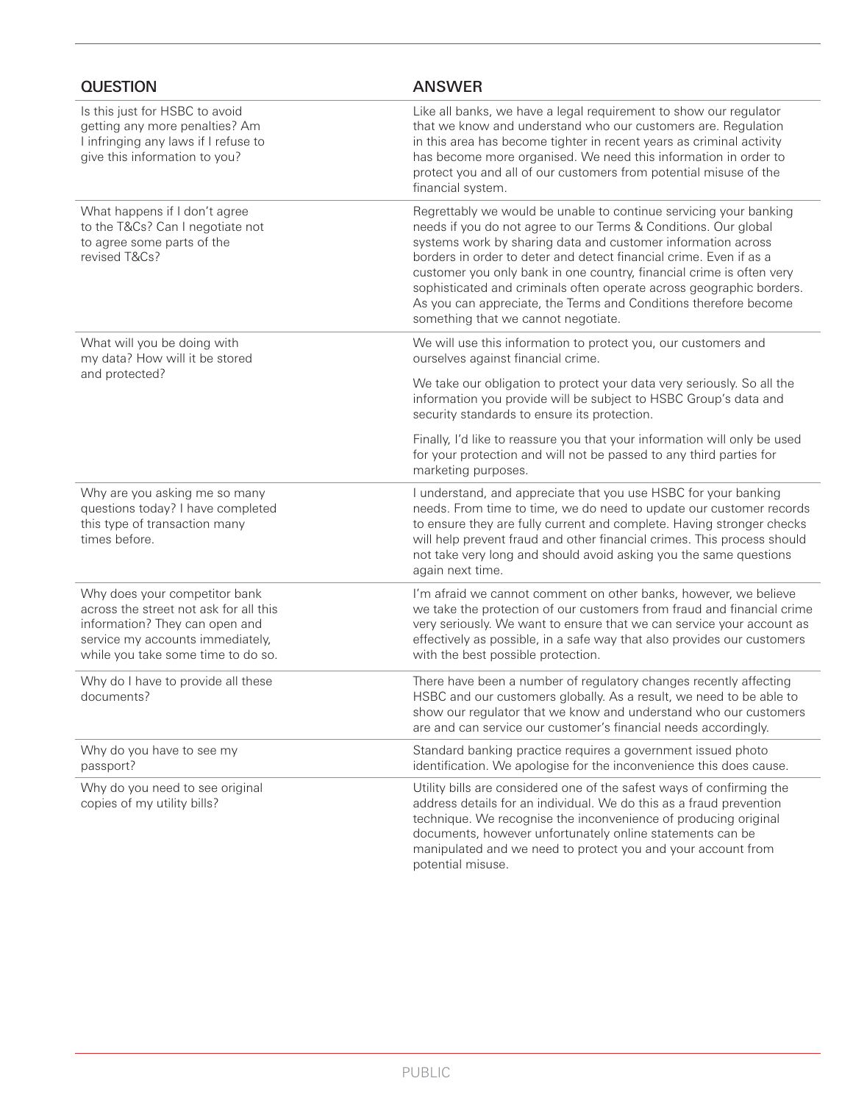| <b>QUESTION</b>                                                                                                                                                                     | <b>ANSWER</b>                                                                                                                                                                                                                                                                                                                                                                                                                                                                                                                         |
|-------------------------------------------------------------------------------------------------------------------------------------------------------------------------------------|---------------------------------------------------------------------------------------------------------------------------------------------------------------------------------------------------------------------------------------------------------------------------------------------------------------------------------------------------------------------------------------------------------------------------------------------------------------------------------------------------------------------------------------|
| Is this just for HSBC to avoid<br>getting any more penalties? Am<br>I infringing any laws if I refuse to<br>give this information to you?                                           | Like all banks, we have a legal requirement to show our regulator<br>that we know and understand who our customers are. Regulation<br>in this area has become tighter in recent years as criminal activity<br>has become more organised. We need this information in order to<br>protect you and all of our customers from potential misuse of the<br>financial system.                                                                                                                                                               |
| What happens if I don't agree<br>to the T&Cs? Can I negotiate not<br>to agree some parts of the<br>revised T&Cs?                                                                    | Regrettably we would be unable to continue servicing your banking<br>needs if you do not agree to our Terms & Conditions. Our global<br>systems work by sharing data and customer information across<br>borders in order to deter and detect financial crime. Even if as a<br>customer you only bank in one country, financial crime is often very<br>sophisticated and criminals often operate across geographic borders.<br>As you can appreciate, the Terms and Conditions therefore become<br>something that we cannot negotiate. |
| What will you be doing with<br>my data? How will it be stored<br>and protected?                                                                                                     | We will use this information to protect you, our customers and<br>ourselves against financial crime.                                                                                                                                                                                                                                                                                                                                                                                                                                  |
|                                                                                                                                                                                     | We take our obligation to protect your data very seriously. So all the<br>information you provide will be subject to HSBC Group's data and<br>security standards to ensure its protection.                                                                                                                                                                                                                                                                                                                                            |
|                                                                                                                                                                                     | Finally, I'd like to reassure you that your information will only be used<br>for your protection and will not be passed to any third parties for<br>marketing purposes.                                                                                                                                                                                                                                                                                                                                                               |
| Why are you asking me so many<br>questions today? I have completed<br>this type of transaction many<br>times before.                                                                | I understand, and appreciate that you use HSBC for your banking<br>needs. From time to time, we do need to update our customer records<br>to ensure they are fully current and complete. Having stronger checks<br>will help prevent fraud and other financial crimes. This process should<br>not take very long and should avoid asking you the same questions<br>again next time.                                                                                                                                                   |
| Why does your competitor bank<br>across the street not ask for all this<br>information? They can open and<br>service my accounts immediately,<br>while you take some time to do so. | I'm afraid we cannot comment on other banks, however, we believe<br>we take the protection of our customers from fraud and financial crime<br>very seriously. We want to ensure that we can service your account as<br>effectively as possible, in a safe way that also provides our customers<br>with the best possible protection.                                                                                                                                                                                                  |
| Why do I have to provide all these<br>documents?                                                                                                                                    | There have been a number of regulatory changes recently affecting<br>HSBC and our customers globally. As a result, we need to be able to<br>show our regulator that we know and understand who our customers<br>are and can service our customer's financial needs accordingly.                                                                                                                                                                                                                                                       |
| Why do you have to see my<br>passport?                                                                                                                                              | Standard banking practice requires a government issued photo<br>identification. We apologise for the inconvenience this does cause.                                                                                                                                                                                                                                                                                                                                                                                                   |
| Why do you need to see original<br>copies of my utility bills?                                                                                                                      | Utility bills are considered one of the safest ways of confirming the<br>address details for an individual. We do this as a fraud prevention<br>technique. We recognise the inconvenience of producing original<br>documents, however unfortunately online statements can be<br>manipulated and we need to protect you and your account from<br>potential misuse.                                                                                                                                                                     |